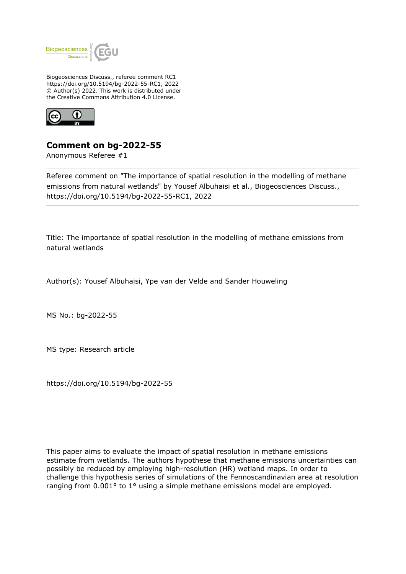

Biogeosciences Discuss., referee comment RC1 https://doi.org/10.5194/bg-2022-55-RC1, 2022 © Author(s) 2022. This work is distributed under the Creative Commons Attribution 4.0 License.



## **Comment on bg-2022-55**

Anonymous Referee #1

Referee comment on "The importance of spatial resolution in the modelling of methane emissions from natural wetlands" by Yousef Albuhaisi et al., Biogeosciences Discuss., https://doi.org/10.5194/bg-2022-55-RC1, 2022

Title: The importance of spatial resolution in the modelling of methane emissions from natural wetlands

Author(s): Yousef Albuhaisi, Ype van der Velde and Sander Houweling

MS No.: bg-2022-55

MS type: Research article

https://doi.org/10.5194/bg-2022-55

This paper aims to evaluate the impact of spatial resolution in methane emissions estimate from wetlands. The authors hypothese that methane emissions uncertainties can possibly be reduced by employing high-resolution (HR) wetland maps. In order to challenge this hypothesis series of simulations of the Fennoscandinavian area at resolution ranging from 0.001° to 1° using a simple methane emissions model are employed.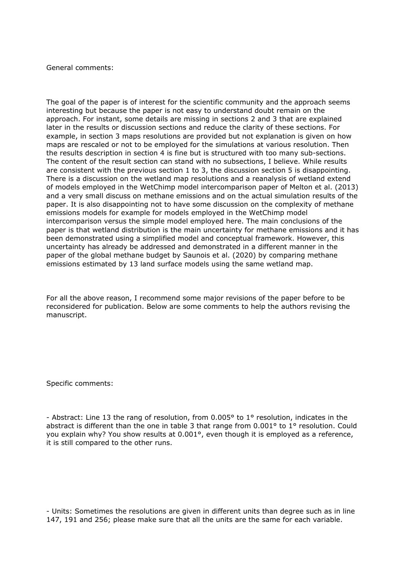## General comments:

The goal of the paper is of interest for the scientific community and the approach seems interesting but because the paper is not easy to understand doubt remain on the approach. For instant, some details are missing in sections 2 and 3 that are explained later in the results or discussion sections and reduce the clarity of these sections. For example, in section 3 maps resolutions are provided but not explanation is given on how maps are rescaled or not to be employed for the simulations at various resolution. Then the results description in section 4 is fine but is structured with too many sub-sections. The content of the result section can stand with no subsections, I believe. While results are consistent with the previous section 1 to 3, the discussion section 5 is disappointing. There is a discussion on the wetland map resolutions and a reanalysis of wetland extend of models employed in the WetChimp model intercomparison paper of Melton et al. (2013) and a very small discuss on methane emissions and on the actual simulation results of the paper. It is also disappointing not to have some discussion on the complexity of methane emissions models for example for models employed in the WetChimp model intercomparison versus the simple model employed here. The main conclusions of the paper is that wetland distribution is the main uncertainty for methane emissions and it has been demonstrated using a simplified model and conceptual framework. However, this uncertainty has already be addressed and demonstrated in a different manner in the paper of the global methane budget by Saunois et al. (2020) by comparing methane emissions estimated by 13 land surface models using the same wetland map.

For all the above reason, I recommend some major revisions of the paper before to be reconsidered for publication. Below are some comments to help the authors revising the manuscript.

Specific comments:

- Abstract: Line 13 the rang of resolution, from 0.005° to 1° resolution, indicates in the abstract is different than the one in table 3 that range from 0.001° to 1° resolution. Could you explain why? You show results at 0.001°, even though it is employed as a reference, it is still compared to the other runs.

- Units: Sometimes the resolutions are given in different units than degree such as in line 147, 191 and 256; please make sure that all the units are the same for each variable.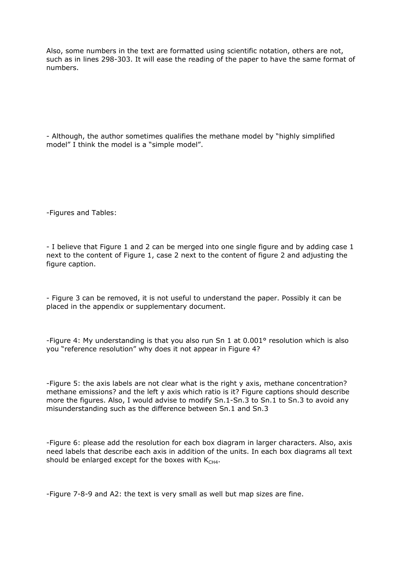Also, some numbers in the text are formatted using scientific notation, others are not, such as in lines 298-303. It will ease the reading of the paper to have the same format of numbers.

- Although, the author sometimes qualifies the methane model by "highly simplified model" I think the model is a "simple model".

-Figures and Tables:

- I believe that Figure 1 and 2 can be merged into one single figure and by adding case 1 next to the content of Figure 1, case 2 next to the content of figure 2 and adjusting the figure caption.

- Figure 3 can be removed, it is not useful to understand the paper. Possibly it can be placed in the appendix or supplementary document.

-Figure 4: My understanding is that you also run Sn 1 at 0.001° resolution which is also you "reference resolution" why does it not appear in Figure 4?

-Figure 5: the axis labels are not clear what is the right y axis, methane concentration? methane emissions? and the left y axis which ratio is it? Figure captions should describe more the figures. Also, I would advise to modify Sn.1-Sn.3 to Sn.1 to Sn.3 to avoid any misunderstanding such as the difference between Sn.1 and Sn.3

-Figure 6: please add the resolution for each box diagram in larger characters. Also, axis need labels that describe each axis in addition of the units. In each box diagrams all text should be enlarged except for the boxes with  $K<sub>CH4</sub>$ .

-Figure 7-8-9 and A2: the text is very small as well but map sizes are fine.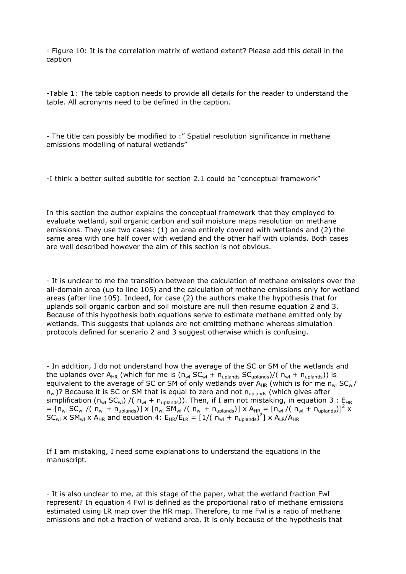- Figure 10: It is the correlation matrix of wetland extent? Please add this detail in the caption

-Table 1: The table caption needs to provide all details for the reader to understand the table. All acronyms need to be defined in the caption.

- The title can possibly be modified to :" Spatial resolution significance in methane emissions modelling of natural wetlands"

-I think a better suited subtitle for section 2.1 could be "conceptual framework"

In this section the author explains the conceptual framework that they employed to evaluate wetland, soil organic carbon and soil moisture maps resolution on methane emissions. They use two cases: (1) an area entirely covered with wetlands and (2) the same area with one half cover with wetland and the other half with uplands. Both cases are well described however the aim of this section is not obvious.

- It is unclear to me the transition between the calculation of methane emissions over the all-domain area (up to line 105) and the calculation of methane emissions only for wetland areas (after line 105). Indeed, for case (2) the authors make the hypothesis that for uplands soil organic carbon and soil moisture are null then resume equation 2 and 3. Because of this hypothesis both equations serve to estimate methane emitted only by wetlands. This suggests that uplands are not emitting methane whereas simulation protocols defined for scenario 2 and 3 suggest otherwise which is confusing.

- In addition, I do not understand how the average of the SC or SM of the wetlands and the uplands over  $A_{HR}$  (which for me is  $(n_{wl} SC_{wl} + n_{uplands} SC_{uplands})/(n_{wl} + n_{uplands})$ ) is equivalent to the average of SC or SM of only wetlands over  $A_{HR}$  (which is for me  $n_{wl}$  SC<sub>wl</sub>/  $n_{w}$ )? Because it is SC or SM that is equal to zero and not  $n_{uplands}$  (which gives after simplification (n<sub>wl</sub> SC<sub>wl</sub>) /(n<sub>wl</sub> + n<sub>uplands</sub>)). Then, if I am not mistaking, in equation 3 : E<sub>HR</sub>  $=$   $[n_{wl}$  SC<sub>wl</sub> /(  $n_{wl}$  +  $n_{uplands}$ )] x  $[n_{wl}$  SM<sub>wl</sub> /(  $n_{wl}$  +  $n_{uplands}$ )] x A<sub>HR</sub> =  $[n_{wl}$  /(  $n_{wl}$  +  $n_{uplands}$ )]<sup>2</sup> x  $SC_{wl}$  x  $SM_{wl}$  x  $A_{HR}$  and equation 4:  $E_{HR}/E_{LR} = [1/(n_{wl} + n_{uplands})^2]$  x  $A_{LR}/A_{HR}$ 

If I am mistaking, I need some explanations to understand the equations in the manuscript.

- It is also unclear to me, at this stage of the paper, what the wetland fraction Fwl represent? In equation 4 Fwl is defined as the proportional ratio of methane emissions estimated using LR map over the HR map. Therefore, to me Fwl is a ratio of methane emissions and not a fraction of wetland area. It is only because of the hypothesis that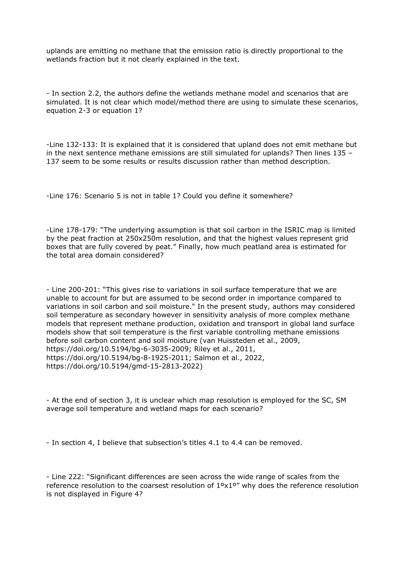uplands are emitting no methane that the emission ratio is directly proportional to the wetlands fraction but it not clearly explained in the text.

- In section 2.2, the authors define the wetlands methane model and scenarios that are simulated. It is not clear which model/method there are using to simulate these scenarios, equation 2-3 or equation 1?

-Line 132-133: It is explained that it is considered that upland does not emit methane but in the next sentence methane emissions are still simulated for uplands? Then lines 135 – 137 seem to be some results or results discussion rather than method description.

-Line 176: Scenario 5 is not in table 1? Could you define it somewhere?

-Line 178-179: "The underlying assumption is that soil carbon in the ISRIC map is limited by the peat fraction at 250x250m resolution, and that the highest values represent grid boxes that are fully covered by peat." Finally, how much peatland area is estimated for the total area domain considered?

- Line 200-201: "This gives rise to variations in soil surface temperature that we are unable to account for but are assumed to be second order in importance compared to variations in soil carbon and soil moisture." In the present study, authors may considered soil temperature as secondary however in sensitivity analysis of more complex methane models that represent methane production, oxidation and transport in global land surface models show that soil temperature is the first variable controlling methane emissions before soil carbon content and soil moisture (van Huissteden et al., 2009, https://doi.org/10.5194/bg-6-3035-2009; Riley et al., 2011, https://doi.org/10.5194/bg-8-1925-2011; Salmon et al., 2022, https://doi.org/10.5194/gmd-15-2813-2022)

- At the end of section 3, it is unclear which map resolution is employed for the SC, SM average soil temperature and wetland maps for each scenario?

- In section 4, I believe that subsection's titles 4.1 to 4.4 can be removed.

- Line 222: "Significant differences are seen across the wide range of scales from the reference resolution to the coarsest resolution of 1ºx1º" why does the reference resolution is not displayed in Figure 4?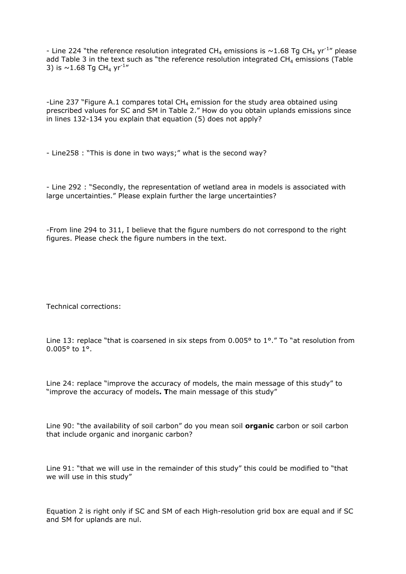- Line 224 "the reference resolution integrated CH<sub>4</sub> emissions is  $\sim$ 1.68 Tg CH<sub>4</sub> yr<sup>-1</sup>" please add Table 3 in the text such as "the reference resolution integrated  $CH_4$  emissions (Table 3) is  ${\sim}1.68$  Tg CH $_4$  yr $^{\text{-}1}$ "

-Line 237 "Figure A.1 compares total  $CH<sub>4</sub>$  emission for the study area obtained using prescribed values for SC and SM in Table 2." How do you obtain uplands emissions since in lines 132-134 you explain that equation (5) does not apply?

- Line258 : "This is done in two ways;" what is the second way?

- Line 292 : "Secondly, the representation of wetland area in models is associated with large uncertainties." Please explain further the large uncertainties?

-From line 294 to 311, I believe that the figure numbers do not correspond to the right figures. Please check the figure numbers in the text.

Technical corrections:

Line 13: replace "that is coarsened in six steps from 0.005° to 1°." To "at resolution from 0.005° to 1°.

Line 24: replace "improve the accuracy of models, the main message of this study" to "improve the accuracy of models**. T**he main message of this study"

Line 90: "the availability of soil carbon" do you mean soil **organic** carbon or soil carbon that include organic and inorganic carbon?

Line 91: "that we will use in the remainder of this study" this could be modified to "that we will use in this study"

Equation 2 is right only if SC and SM of each High-resolution grid box are equal and if SC and SM for uplands are nul.